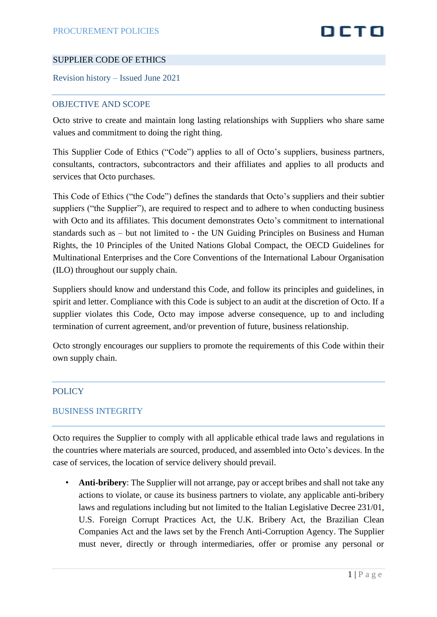## DETO

#### SUPPLIER CODE OF ETHICS

Revision history – Issued June 2021

#### OBJECTIVE AND SCOPE

Octo strive to create and maintain long lasting relationships with Suppliers who share same values and commitment to doing the right thing.

This Supplier Code of Ethics ("Code") applies to all of Octo's suppliers, business partners, consultants, contractors, subcontractors and their affiliates and applies to all products and services that Octo purchases.

This Code of Ethics ("the Code") defines the standards that Octo's suppliers and their subtier suppliers ("the Supplier"), are required to respect and to adhere to when conducting business with Octo and its affiliates. This document demonstrates Octo's commitment to international standards such as – but not limited to - the UN Guiding Principles on Business and Human Rights, the 10 Principles of the United Nations Global Compact, the OECD Guidelines for Multinational Enterprises and the Core Conventions of the International Labour Organisation (ILO) throughout our supply chain.

Suppliers should know and understand this Code, and follow its principles and guidelines, in spirit and letter. Compliance with this Code is subject to an audit at the discretion of Octo. If a supplier violates this Code, Octo may impose adverse consequence, up to and including termination of current agreement, and/or prevention of future, business relationship.

Octo strongly encourages our suppliers to promote the requirements of this Code within their own supply chain.

#### POLICY

#### BUSINESS INTEGRITY

Octo requires the Supplier to comply with all applicable ethical trade laws and regulations in the countries where materials are sourced, produced, and assembled into Octo's devices. In the case of services, the location of service delivery should prevail.

• **Anti-bribery**: The Supplier will not arrange, pay or accept bribes and shall not take any actions to violate, or cause its business partners to violate, any applicable anti-bribery laws and regulations including but not limited to the Italian Legislative Decree 231/01, U.S. Foreign Corrupt Practices Act, the U.K. Bribery Act, the Brazilian Clean Companies Act and the laws set by the French Anti-Corruption Agency. The Supplier must never, directly or through intermediaries, offer or promise any personal or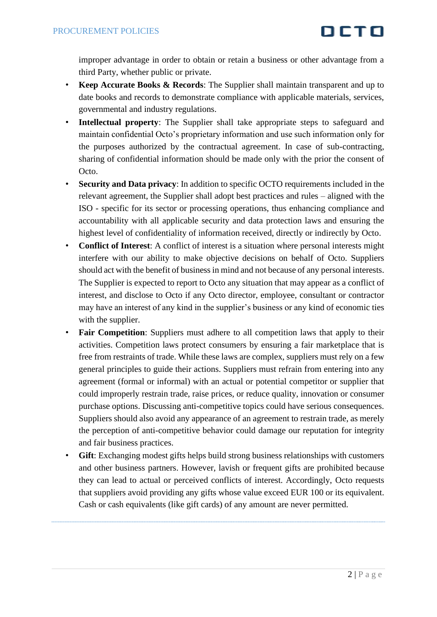improper advantage in order to obtain or retain a business or other advantage from a third Party, whether public or private.

- **Keep Accurate Books & Records**: The Supplier shall maintain transparent and up to date books and records to demonstrate compliance with applicable materials, services, governmental and industry regulations.
- **Intellectual property**: The Supplier shall take appropriate steps to safeguard and maintain confidential Octo's proprietary information and use such information only for the purposes authorized by the contractual agreement. In case of sub-contracting, sharing of confidential information should be made only with the prior the consent of Octo.
- **Security and Data privacy**: In addition to specific OCTO requirements included in the relevant agreement, the Supplier shall adopt best practices and rules – aligned with the ISO - specific for its sector or processing operations, thus enhancing compliance and accountability with all applicable security and data protection laws and ensuring the highest level of confidentiality of information received, directly or indirectly by Octo.
- **Conflict of Interest**: A conflict of interest is a situation where personal interests might interfere with our ability to make objective decisions on behalf of Octo. Suppliers should act with the benefit of business in mind and not because of any personal interests. The Supplier is expected to report to Octo any situation that may appear as a conflict of interest, and disclose to Octo if any Octo director, employee, consultant or contractor may have an interest of any kind in the supplier's business or any kind of economic ties with the supplier.
- **Fair Competition**: Suppliers must adhere to all competition laws that apply to their activities. Competition laws protect consumers by ensuring a fair marketplace that is free from restraints of trade. While these laws are complex, suppliers must rely on a few general principles to guide their actions. Suppliers must refrain from entering into any agreement (formal or informal) with an actual or potential competitor or supplier that could improperly restrain trade, raise prices, or reduce quality, innovation or consumer purchase options. Discussing anti-competitive topics could have serious consequences. Suppliers should also avoid any appearance of an agreement to restrain trade, as merely the perception of anti-competitive behavior could damage our reputation for integrity and fair business practices.
- **Gift**: Exchanging modest gifts helps build strong business relationships with customers and other business partners. However, lavish or frequent gifts are prohibited because they can lead to actual or perceived conflicts of interest. Accordingly, Octo requests that suppliers avoid providing any gifts whose value exceed EUR 100 or its equivalent. Cash or cash equivalents (like gift cards) of any amount are never permitted.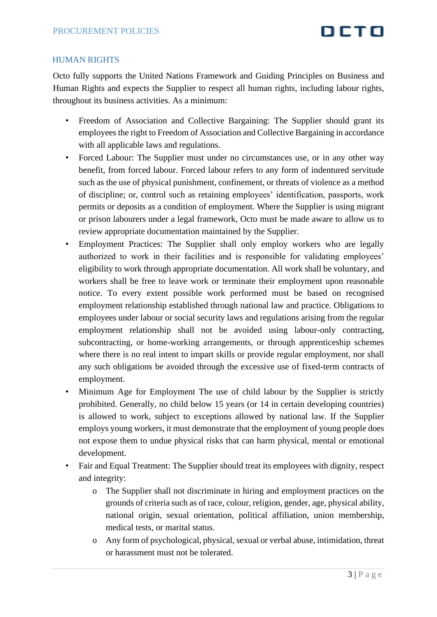## OCTO

#### HUMAN RIGHTS

Octo fully supports the United Nations Framework and Guiding Principles on Business and Human Rights and expects the Supplier to respect all human rights, including labour rights, throughout its business activities. As a minimum:

- Freedom of Association and Collective Bargaining: The Supplier should grant its employees the right to Freedom of Association and Collective Bargaining in accordance with all applicable laws and regulations.
- Forced Labour: The Supplier must under no circumstances use, or in any other way benefit, from forced labour. Forced labour refers to any form of indentured servitude such as the use of physical punishment, confinement, or threats of violence as a method of discipline; or, control such as retaining employees' identification, passports, work permits or deposits as a condition of employment. Where the Supplier is using migrant or prison labourers under a legal framework, Octo must be made aware to allow us to review appropriate documentation maintained by the Supplier.
- Employment Practices: The Supplier shall only employ workers who are legally authorized to work in their facilities and is responsible for validating employees' eligibility to work through appropriate documentation. All work shall be voluntary, and workers shall be free to leave work or terminate their employment upon reasonable notice. To every extent possible work performed must be based on recognised employment relationship established through national law and practice. Obligations to employees under labour or social security laws and regulations arising from the regular employment relationship shall not be avoided using labour-only contracting, subcontracting, or home-working arrangements, or through apprenticeship schemes where there is no real intent to impart skills or provide regular employment, nor shall any such obligations be avoided through the excessive use of fixed-term contracts of employment.
- Minimum Age for Employment The use of child labour by the Supplier is strictly prohibited. Generally, no child below 15 years (or 14 in certain developing countries) is allowed to work, subject to exceptions allowed by national law. If the Supplier employs young workers, it must demonstrate that the employment of young people does not expose them to undue physical risks that can harm physical, mental or emotional development.
- Fair and Equal Treatment: The Supplier should treat its employees with dignity, respect and integrity:
	- o The Supplier shall not discriminate in hiring and employment practices on the grounds of criteria such as of race, colour, religion, gender, age, physical ability, national origin, sexual orientation, political affiliation, union membership, medical tests, or marital status.
	- o Any form of psychological, physical, sexual or verbal abuse, intimidation, threat or harassment must not be tolerated.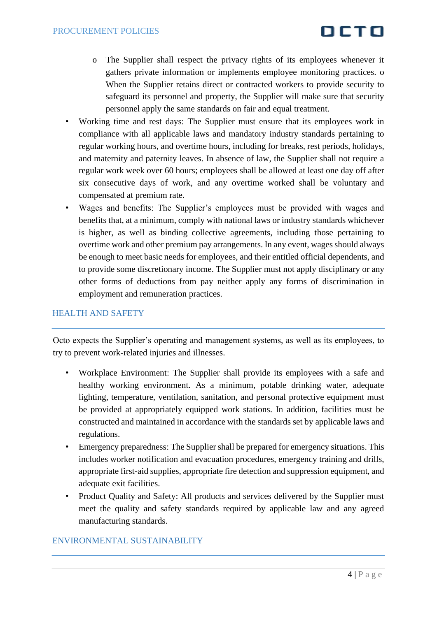- o The Supplier shall respect the privacy rights of its employees whenever it gathers private information or implements employee monitoring practices. o When the Supplier retains direct or contracted workers to provide security to safeguard its personnel and property, the Supplier will make sure that security personnel apply the same standards on fair and equal treatment.
- Working time and rest days: The Supplier must ensure that its employees work in compliance with all applicable laws and mandatory industry standards pertaining to regular working hours, and overtime hours, including for breaks, rest periods, holidays, and maternity and paternity leaves. In absence of law, the Supplier shall not require a regular work week over 60 hours; employees shall be allowed at least one day off after six consecutive days of work, and any overtime worked shall be voluntary and compensated at premium rate.
- Wages and benefits: The Supplier's employees must be provided with wages and benefits that, at a minimum, comply with national laws or industry standards whichever is higher, as well as binding collective agreements, including those pertaining to overtime work and other premium pay arrangements. In any event, wages should always be enough to meet basic needs for employees, and their entitled official dependents, and to provide some discretionary income. The Supplier must not apply disciplinary or any other forms of deductions from pay neither apply any forms of discrimination in employment and remuneration practices.

#### HEALTH AND SAFETY

Octo expects the Supplier's operating and management systems, as well as its employees, to try to prevent work-related injuries and illnesses.

- Workplace Environment: The Supplier shall provide its employees with a safe and healthy working environment. As a minimum, potable drinking water, adequate lighting, temperature, ventilation, sanitation, and personal protective equipment must be provided at appropriately equipped work stations. In addition, facilities must be constructed and maintained in accordance with the standards set by applicable laws and regulations.
- Emergency preparedness: The Supplier shall be prepared for emergency situations. This includes worker notification and evacuation procedures, emergency training and drills, appropriate first-aid supplies, appropriate fire detection and suppression equipment, and adequate exit facilities.
- Product Quality and Safety: All products and services delivered by the Supplier must meet the quality and safety standards required by applicable law and any agreed manufacturing standards.

#### ENVIRONMENTAL SUSTAINABILITY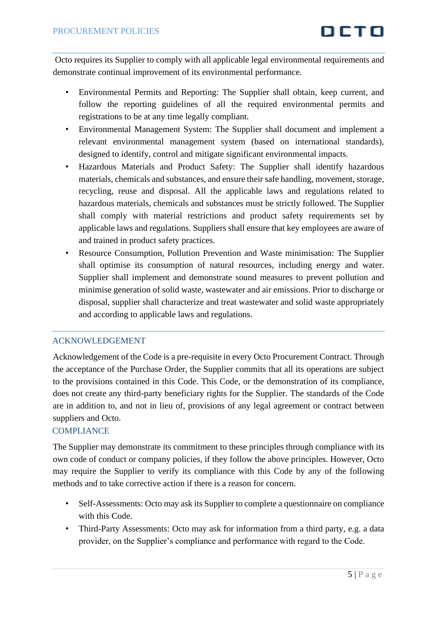Octo requires its Supplier to comply with all applicable legal environmental requirements and demonstrate continual improvement of its environmental performance.

- Environmental Permits and Reporting: The Supplier shall obtain, keep current, and follow the reporting guidelines of all the required environmental permits and registrations to be at any time legally compliant.
- Environmental Management System: The Supplier shall document and implement a relevant environmental management system (based on international standards), designed to identify, control and mitigate significant environmental impacts.
- Hazardous Materials and Product Safety: The Supplier shall identify hazardous materials, chemicals and substances, and ensure their safe handling, movement, storage, recycling, reuse and disposal. All the applicable laws and regulations related to hazardous materials, chemicals and substances must be strictly followed. The Supplier shall comply with material restrictions and product safety requirements set by applicable laws and regulations. Suppliers shall ensure that key employees are aware of and trained in product safety practices.
- Resource Consumption, Pollution Prevention and Waste minimisation: The Supplier shall optimise its consumption of natural resources, including energy and water. Supplier shall implement and demonstrate sound measures to prevent pollution and minimise generation of solid waste, wastewater and air emissions. Prior to discharge or disposal, supplier shall characterize and treat wastewater and solid waste appropriately and according to applicable laws and regulations.

#### ACKNOWLEDGEMENT

Acknowledgement of the Code is a pre-requisite in every Octo Procurement Contract. Through the acceptance of the Purchase Order, the Supplier commits that all its operations are subject to the provisions contained in this Code. This Code, or the demonstration of its compliance, does not create any third-party beneficiary rights for the Supplier. The standards of the Code are in addition to, and not in lieu of, provisions of any legal agreement or contract between suppliers and Octo.

#### COMPLIANCE

The Supplier may demonstrate its commitment to these principles through compliance with its own code of conduct or company policies, if they follow the above principles. However, Octo may require the Supplier to verify its compliance with this Code by any of the following methods and to take corrective action if there is a reason for concern.

- Self-Assessments: Octo may ask its Supplier to complete a questionnaire on compliance with this Code.
- Third-Party Assessments: Octo may ask for information from a third party, e.g. a data provider, on the Supplier's compliance and performance with regard to the Code.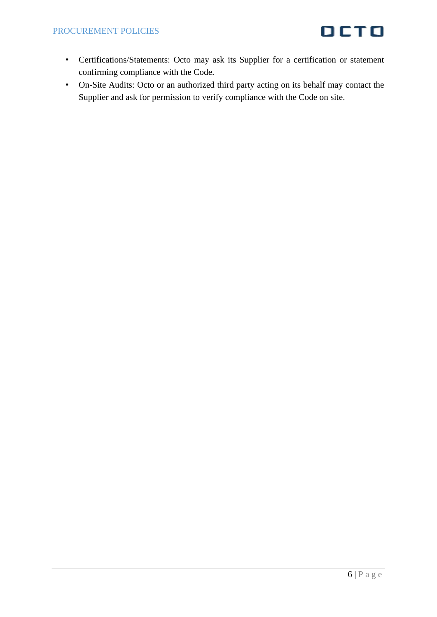- Certifications/Statements: Octo may ask its Supplier for a certification or statement confirming compliance with the Code.
- On-Site Audits: Octo or an authorized third party acting on its behalf may contact the Supplier and ask for permission to verify compliance with the Code on site.